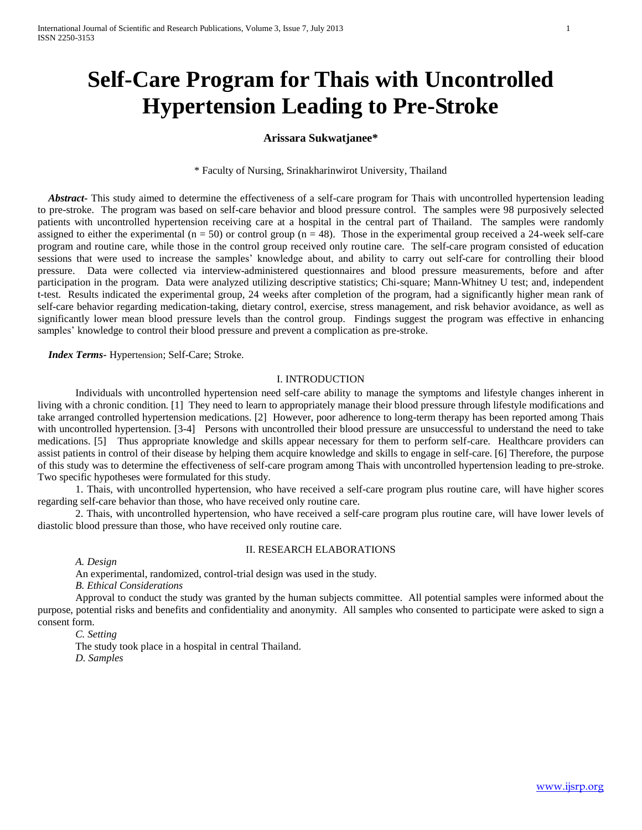# **Self-Care Program for Thais with Uncontrolled Hypertension Leading to Pre-Stroke**

# **Arissara Sukwatjanee\***

\* Faculty of Nursing, Srinakharinwirot University, Thailand

 *Abstract-* This study aimed to determine the effectiveness of a self-care program for Thais with uncontrolled hypertension leading to pre-stroke. The program was based on self-care behavior and blood pressure control. The samples were 98 purposively selected patients with uncontrolled hypertension receiving care at a hospital in the central part of Thailand. The samples were randomly assigned to either the experimental  $(n = 50)$  or control group  $(n = 48)$ . Those in the experimental group received a 24-week self-care program and routine care, while those in the control group received only routine care. The self-care program consisted of education sessions that were used to increase the samples' knowledge about, and ability to carry out self-care for controlling their blood pressure. Data were collected via interview-administered questionnaires and blood pressure measurements, before and after participation in the program. Data were analyzed utilizing descriptive statistics; Chi-square; Mann-Whitney U test; and, independent t-test. Results indicated the experimental group, 24 weeks after completion of the program, had a significantly higher mean rank of self-care behavior regarding medication-taking, dietary control, exercise, stress management, and risk behavior avoidance, as well as significantly lower mean blood pressure levels than the control group. Findings suggest the program was effective in enhancing samples' knowledge to control their blood pressure and prevent a complication as pre-stroke.

 *Index Terms-* Hypertension; Self-Care; Stroke.

# I. INTRODUCTION

Individuals with uncontrolled hypertension need self-care ability to manage the symptoms and lifestyle changes inherent in living with a chronic condition. [1] They need to learn to appropriately manage their blood pressure through lifestyle modifications and take arranged controlled hypertension medications. [2] However, poor adherence to long-term therapy has been reported among Thais with uncontrolled hypertension. [3-4] Persons with uncontrolled their blood pressure are unsuccessful to understand the need to take medications. [5] Thus appropriate knowledge and skills appear necessary for them to perform self-care. Healthcare providers can assist patients in control of their disease by helping them acquire knowledge and skills to engage in self-care. [6] Therefore, the purpose of this study was to determine the effectiveness of self-care program among Thais with uncontrolled hypertension leading to pre-stroke. Two specific hypotheses were formulated for this study.

1. Thais, with uncontrolled hypertension, who have received a self-care program plus routine care, will have higher scores regarding self-care behavior than those, who have received only routine care.

2. Thais, with uncontrolled hypertension, who have received a self-care program plus routine care, will have lower levels of diastolic blood pressure than those, who have received only routine care.

## II. RESEARCH ELABORATIONS

*A. Design*

An experimental, randomized, control-trial design was used in the study.

*B. Ethical Considerations*

Approval to conduct the study was granted by the human subjects committee. All potential samples were informed about the purpose, potential risks and benefits and confidentiality and anonymity. All samples who consented to participate were asked to sign a consent form.

*C. Setting*

The study took place in a hospital in central Thailand. *D. Samples*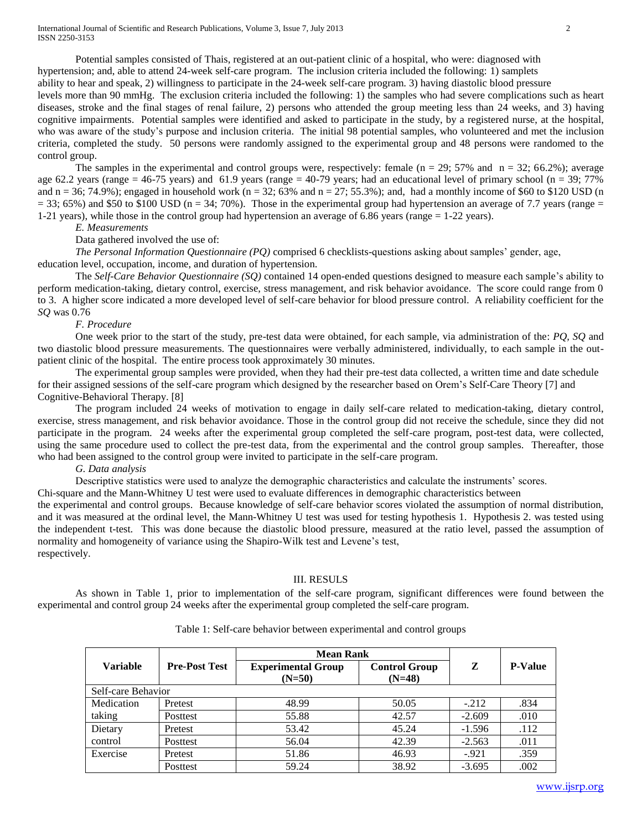Potential samples consisted of Thais, registered at an out-patient clinic of a hospital, who were: diagnosed with hypertension; and, able to attend 24-week self-care program. The inclusion criteria included the following: 1) samplets ability to hear and speak, 2) willingness to participate in the 24-week self-care program. 3) having diastolic blood pressure levels more than 90 mmHg. The exclusion criteria included the following: 1) the samples who had severe complications such as heart diseases, stroke and the final stages of renal failure, 2) persons who attended the group meeting less than 24 weeks, and 3) having cognitive impairments. Potential samples were identified and asked to participate in the study, by a registered nurse, at the hospital, who was aware of the study's purpose and inclusion criteria. The initial 98 potential samples, who volunteered and met the inclusion criteria, completed the study. 50 persons were randomly assigned to the experimental group and 48 persons were randomed to the

control group.

The samples in the experimental and control groups were, respectively: female  $(n = 29; 57\%$  and  $n = 32; 66.2\%$ ); average age 62.2 years (range = 46-75 years) and 61.9 years (range = 40-79 years; had an educational level of primary school (n = 39; 77%) and  $n = 36$ ; 74.9%); engaged in household work ( $n = 32$ ; 63% and  $n = 27$ ; 55.3%); and, had a monthly income of \$60 to \$120 USD (n  $= 33$ ; 65%) and \$50 to \$100 USD (n = 34; 70%). Those in the experimental group had hypertension an average of 7.7 years (range  $=$ 1-21 years), while those in the control group had hypertension an average of 6.86 years (range = 1-22 years).

*E. Measurements*

## Data gathered involved the use of:

*The Personal Information Questionnaire (PQ)* comprised 6 checklists-questions asking about samples' gender, age, education level, occupation, income, and duration of hypertension.

 The *Self-Care Behavior Questionnaire (SQ)* contained 14 open-ended questions designed to measure each sample's ability to perform medication-taking, dietary control, exercise, stress management, and risk behavior avoidance. The score could range from 0 to 3. A higher score indicated a more developed level of self-care behavior for blood pressure control. A reliability coefficient for the *SQ* was 0.76

#### *F. Procedure*

One week prior to the start of the study, pre-test data were obtained, for each sample, via administration of the: *PQ, SQ* and two diastolic blood pressure measurements*.* The questionnaires were verbally administered, individually, to each sample in the outpatient clinic of the hospital. The entire process took approximately 30 minutes.

The experimental group samples were provided, when they had their pre-test data collected, a written time and date schedule for their assigned sessions of the self-care program which designed by the researcher based on Orem's Self-Care Theory [7] and Cognitive-Behavioral Therapy. [8]

The program included 24 weeks of motivation to engage in daily self-care related to medication-taking, dietary control, exercise, stress management, and risk behavior avoidance. Those in the control group did not receive the schedule, since they did not participate in the program. 24 weeks after the experimental group completed the self-care program, post-test data, were collected, using the same procedure used to collect the pre-test data, from the experimental and the control group samples. Thereafter, those who had been assigned to the control group were invited to participate in the self-care program.

## *G. Data analysis*

Descriptive statistics were used to analyze the demographic characteristics and calculate the instruments' scores.

Chi-square and the Mann-Whitney U test were used to evaluate differences in demographic characteristics between

the experimental and control groups. Because knowledge of self-care behavior scores violated the assumption of normal distribution, and it was measured at the ordinal level, the Mann-Whitney U test was used for testing hypothesis 1. Hypothesis 2. was tested using the independent t-test. This was done because the diastolic blood pressure, measured at the ratio level, passed the assumption of normality and homogeneity of variance using the Shapiro-Wilk test and Levene's test, respectively.

#### III. RESULS

As shown in Table 1, prior to implementation of the self-care program, significant differences were found between the experimental and control group 24 weeks after the experimental group completed the self-care program.

|                    |                      | <b>Mean Rank</b>                      |                                  |          |                |  |  |
|--------------------|----------------------|---------------------------------------|----------------------------------|----------|----------------|--|--|
| <b>Variable</b>    | <b>Pre-Post Test</b> | <b>Experimental Group</b><br>$(N=50)$ | <b>Control Group</b><br>$(N=48)$ | Z        | <b>P-Value</b> |  |  |
| Self-care Behavior |                      |                                       |                                  |          |                |  |  |
| Medication         | Pretest              | 48.99                                 | 50.05                            | $-212$   | .834           |  |  |
| taking             | <b>Posttest</b>      | 55.88                                 | 42.57                            | $-2.609$ | .010           |  |  |
| Dietary            | Pretest              | 53.42                                 | 45.24                            | $-1.596$ | .112           |  |  |
| control            | Posttest             | 56.04                                 | 42.39                            | $-2.563$ | .011           |  |  |
| Exercise           | Pretest              | 51.86                                 | 46.93                            | $-.921$  | .359           |  |  |
|                    | Posttest             | 59.24                                 | 38.92                            | $-3.695$ | .002           |  |  |

## Table 1: Self-care behavior between experimental and control groups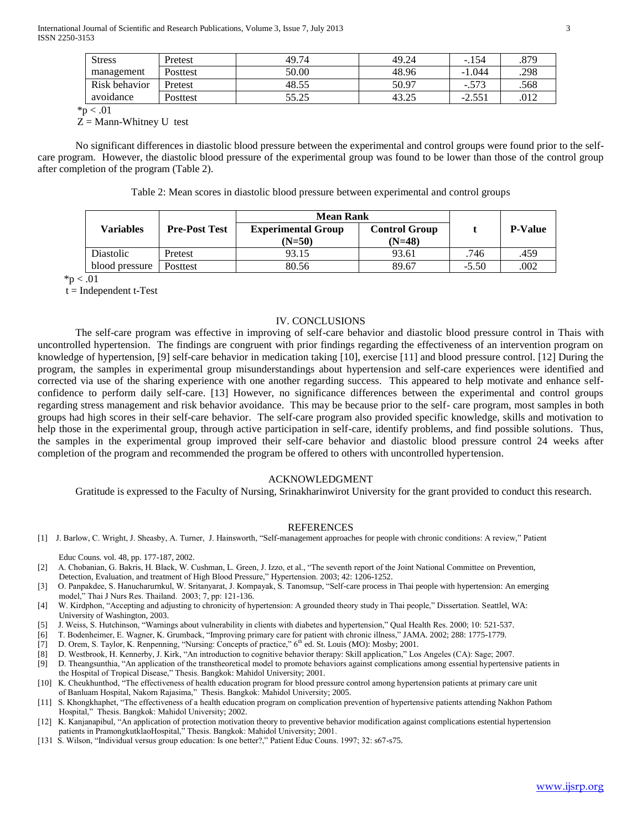| <b>Stress</b> | Pretest  | 49.74 | 49.24     | $-.154$  | .879 |
|---------------|----------|-------|-----------|----------|------|
| management    | Posttest | 50.00 | 48.96     | $-1.044$ | .298 |
| Risk behavior | Pretest  | 48.55 | 50.97     | $-.573$  | .568 |
| avoidance     | Posttest | 55.25 | ن ے . د + | $-2.551$ | .012 |

 $*<sub>p</sub> < .01$ 

 $Z =$  Mann-Whitney U test

No significant differences in diastolic blood pressure between the experimental and control groups were found prior to the selfcare program. However, the diastolic blood pressure of the experimental group was found to be lower than those of the control group after completion of the program (Table 2).

Table 2: Mean scores in diastolic blood pressure between experimental and control groups

|                  |                      | <b>Mean Rank</b>          |                      |         |                |
|------------------|----------------------|---------------------------|----------------------|---------|----------------|
| Variables        | <b>Pre-Post Test</b> | <b>Experimental Group</b> | <b>Control Group</b> |         | <b>P-Value</b> |
|                  |                      | $(N=50)$                  | $(N=48)$             |         |                |
| <b>Diastolic</b> | Pretest              | 93.15                     | 93.61                | .746    | .459           |
| blood pressure   | Posttest             | 80.56                     | 89.67                | $-5.50$ | .002           |

 $*_{p} < .01$ 

 $t = Independent t-Test$ 

## IV. CONCLUSIONS

The self-care program was effective in improving of self-care behavior and diastolic blood pressure control in Thais with uncontrolled hypertension. The findings are congruent with prior findings regarding the effectiveness of an intervention program on knowledge of hypertension, [9] self-care behavior in medication taking [10], exercise [11] and blood pressure control. [12] During the program, the samples in experimental group misunderstandings about hypertension and self-care experiences were identified and corrected via use of the sharing experience with one another regarding success. This appeared to help motivate and enhance selfconfidence to perform daily self-care. [13] However, no significance differences between the experimental and control groups regarding stress management and risk behavior avoidance. This may be because prior to the self- care program, most samples in both groups had high scores in their self-care behavior. The self-care program also provided specific knowledge, skills and motivation to help those in the experimental group, through active participation in self-care, identify problems, and find possible solutions. Thus, the samples in the experimental group improved their self-care behavior and diastolic blood pressure control 24 weeks after completion of the program and recommended the program be offered to others with uncontrolled hypertension.

## ACKNOWLEDGMENT

Gratitude is expressed to the Faculty of Nursing, Srinakharinwirot University for the grant provided to conduct this research.

#### REFERENCES

[1] J. Barlow, C. Wright, J. Sheasby, A. Turner, J. Hainsworth, "Self-management approaches for people with chronic conditions: A review," Patient

Educ Couns. vol. 48, pp. 177-187, 2002.

- [2] A. Chobanian, G. Bakris, H. Black, W. Cushman, L. Green, J. Izzo, et al., "The seventh report of the Joint National Committee on Prevention, Detection, Evaluation, and treatment of High Blood Pressure," Hypertension. 2003; 42: 1206-1252.
- [3] O. Panpakdee, S. Hanucharurnkul, W. Sritanyarat, J. Kompayak, S. Tanomsup, "Self-care process in Thai people with hypertension: An emerging model," Thai J Nurs Res. Thailand. 2003; 7, pp: 121-136.
- [4] W. Kirdphon, "Accepting and adjusting to chronicity of hypertension: A grounded theory study in Thai people," Dissertation. Seattlel, WA: University of Washington, 2003.
- [5] J. Weiss, S. Hutchinson, "Warnings about vulnerability in clients with diabetes and hypertension," Qual Health Res. 2000; 10: 521-537.
- [6] T. Bodenheimer, E. Wagner, K. Grumback, "Improving primary care for patient with chronic illness," JAMA. 2002; 288: 1775-1779.
- [7] D. Orem, S. Taylor, K. Renpenning, "Nursing: Concepts of practice," 6<sup>th</sup> ed. St. Louis (MO): Mosby; 2001.
- [8] D. Westbrook, H. Kennerby, J. Kirk, "An introduction to cognitive behavior therapy: Skill application," Los Angeles (CA): Sage; 2007.
- [9] D. Theangsunthia, "An application of the transtheoretical model to promote behaviors against complications among essential hypertensive patients in the Hospital of Tropical Disease," Thesis. Bangkok: Mahidol University; 2001.
- [10] K. Cheukhunthod, "The effectiveness of health education program for blood pressure control among hypertension patients at primary care unit of Banluam Hospital, Nakorn Rajasima," Thesis. Bangkok: Mahidol University; 2005.
- [11] S. Khongkhaphet, "The effectiveness of a health education program on complication prevention of hypertensive patients attending Nakhon Pathom Hospital," Thesis. Bangkok: Mahidol University; 2002.
- [12] K. Kanjanapibul, "An application of protection motivation theory to preventive behavior modification against complications estential hypertension patients in PramongkutklaoHospital," Thesis. Bangkok: Mahidol University; 2001.
- [131 S. Wilson, "Individual versus group education: Is one better?," Patient Educ Couns. 1997; 32: s67-s75.